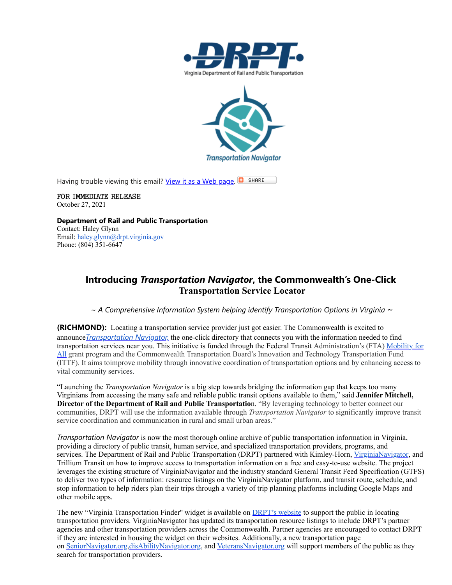



Having trouble viewing this email? [View it as a Web page](https://lnks.gd/l/eyJhbGciOiJIUzI1NiJ9.eyJidWxsZXRpbl9saW5rX2lkIjoxMDEsInVyaSI6ImJwMjpjbGljayIsImJ1bGxldGluX2lkIjoiMjAyMTEwMjcuNDc5NjcwNjEiLCJ1cmwiOiJodHRwczovL2NvbnRlbnQuZ292ZGVsaXZlcnkuY29tL2FjY291bnRzL1ZBRFJQVC9idWxsZXRpbnMvMmY5NjkwMiJ9.96WUfpHfsT7rZLviCQM8Hzr_t_xF1FEiirmAlff0jPc/s/1501350404/br/114716909062-l).  $\Box$  SHARE

FOR IMMEDIATE RELEASE October 27, 2021

**Department of Rail and Public Transportation** Contact: Haley Glynn Email: [haley.glynn@drpt.virginia.gov](mailto:haley.glynn@drpt.virginia.gov) Phone: (804) 351-6647

## **Introducing** *Transportation Navigator***, the Commonwealth's One-Click Transportation Service Locator**

*~ A Comprehensive Information System helping identify Transportation Options in Virginia ~*

**(RICHMOND):** Locating a transportation service provider just got easier. The Commonwealth is excited to announce*[Transportation Navigator,](https://lnks.gd/l/eyJhbGciOiJIUzI1NiJ9.eyJidWxsZXRpbl9saW5rX2lkIjoxMDMsInVyaSI6ImJwMjpjbGljayIsImJ1bGxldGluX2lkIjoiMjAyMTEwMjcuNDc5NjcwNjEiLCJ1cmwiOiJodHRwOi8vd3d3LmRycHQudmlyZ2luaWEuZ292L3RyYW5zaXQvbW9iaWxpdHktZm9yLWFsbC8ifQ.RAyY5cw9hSJyX1RkZYzZP-pRThlC7VFhTpCW9XZ9xgw/s/1501350404/br/114716909062-l)* the one-click directory that connects you with the information needed to find transportation services near you. This initiative is funded through the Federal Transit Administration's (FTA) Mobility for All [grant program and the Commonwealth Transportation Board's Innovation and Technology Transportation Fund](https://lnks.gd/l/eyJhbGciOiJIUzI1NiJ9.eyJidWxsZXRpbl9saW5rX2lkIjoxMDQsInVyaSI6ImJwMjpjbGljayIsImJ1bGxldGluX2lkIjoiMjAyMTEwMjcuNDc5NjcwNjEiLCJ1cmwiOiJodHRwczovL3d3dy50cmFuc2l0LmRvdC5nb3YvZnVuZGluZy9ncmFudHMvZ3JhbnQtcHJvZ3JhbXMvbW9iaWxpdHktYWxsLXBpbG90LXByb2dyYW0tZ3JhbnRzIn0.Wbo8vzmAyHWvSdvdfQOA1JC022feaIYKM_Bhf91PN2s/s/1501350404/br/114716909062-l) (ITTF). It aims toimprove mobility through innovative coordination of transportation options and by enhancing access to vital community services.

"Launching the *Transportation Navigator* is a big step towards bridging the information gap that keeps too many Virginians from accessing the many safe and reliable public transit options available to them," said **Jennifer Mitchell, Director of the Department of Rail and Public Transportatio**n. "By leveraging technology to better connect our communities, DRPT will use the information available through *Transportation Navigator* to significantly improve transit service coordination and communication in rural and small urban areas."

*Transportation Navigator* is now the most thorough online archive of public transportation information in Virginia, providing a directory of public transit, human service, and specialized transportation providers, programs, and services. The Department of Rail and Public Transportation (DRPT) partnered with Kimley-Horn, [VirginiaNavigator](https://lnks.gd/l/eyJhbGciOiJIUzI1NiJ9.eyJidWxsZXRpbl9saW5rX2lkIjoxMDUsInVyaSI6ImJwMjpjbGljayIsImJ1bGxldGluX2lkIjoiMjAyMTEwMjcuNDc5NjcwNjEiLCJ1cmwiOiJodHRwczovL3ZpcmdpbmlhbmF2aWdhdG9yLm9yZy8ifQ.knoQ2JPuGNllIyopUEuyIShFCNsJX04ZXMLycxM8NmU/s/1501350404/br/114716909062-l), and Trillium Transit on how to improve access to transportation information on a free and easy-to-use website. The project leverages the existing structure of VirginiaNavigator and the industry standard General Transit Feed Specification (GTFS) to deliver two types of information: resource listings on the VirginiaNavigator platform, and transit route, schedule, and stop information to help riders plan their trips through a variety of trip planning platforms including Google Maps and other mobile apps.

The new "Virginia Transportation Finder" widget is available on **[DRPT's website](https://lnks.gd/l/eyJhbGciOiJIUzI1NiJ9.eyJidWxsZXRpbl9saW5rX2lkIjoxMDYsInVyaSI6ImJwMjpjbGljayIsImJ1bGxldGluX2lkIjoiMjAyMTEwMjcuNDc5NjcwNjEiLCJ1cmwiOiJodHRwOi8vd3d3LmRycHQudmlyZ2luaWEuZ292L3RyYW5zaXQvbW9iaWxpdHktZm9yLWFsbC8ifQ.jwfE42Lyo6eIBGXFDzZjMJuau9GHkfneUOaUz67wxfo/s/1501350404/br/114716909062-l) to support the public** in locating transportation providers. VirginiaNavigator has updated its transportation resource listings to include DRPT's partner agencies and other transportation providers across the Commonwealth. Partner agencies are encouraged to contact DRPT if they are interested in housing the widget on their websites. Additionally, a new transportation page on [SeniorNavigator.org,](https://lnks.gd/l/eyJhbGciOiJIUzI1NiJ9.eyJidWxsZXRpbl9saW5rX2lkIjoxMDcsInVyaSI6ImJwMjpjbGljayIsImJ1bGxldGluX2lkIjoiMjAyMTEwMjcuNDc5NjcwNjEiLCJ1cmwiOiJodHRwczovL3Nlbmlvcm5hdmlnYXRvci5vcmcifQ.MZejWZiUdVheqD2Mq3QbrJHEVGbdXb-3bCWqScBsoWA/s/1501350404/br/114716909062-l)[disAbilityNavigator.org,](https://lnks.gd/l/eyJhbGciOiJIUzI1NiJ9.eyJidWxsZXRpbl9saW5rX2lkIjoxMDgsInVyaSI6ImJwMjpjbGljayIsImJ1bGxldGluX2lkIjoiMjAyMTEwMjcuNDc5NjcwNjEiLCJ1cmwiOiJodHRwczovL2Rpc2FiaWxpdHluYXZpZ2F0b3Iub3JnLyJ9.oRZG-638EeSpxwsVZr2Jjj4WwVknizGapyHxDaA9xQ8/s/1501350404/br/114716909062-l) and [VeteransNavigator.org](https://lnks.gd/l/eyJhbGciOiJIUzI1NiJ9.eyJidWxsZXRpbl9saW5rX2lkIjoxMDksInVyaSI6ImJwMjpjbGljayIsImJ1bGxldGluX2lkIjoiMjAyMTEwMjcuNDc5NjcwNjEiLCJ1cmwiOiJodHRwczovL3ZldGVyYW5zbmF2aWdhdG9yLm9yZy8ifQ.Oyn_TBxJQAiHghzbmdR4nK0pQ8EcxRyesTyG2x_nnhk/s/1501350404/br/114716909062-l) will support members of the public as they search for transportation providers.